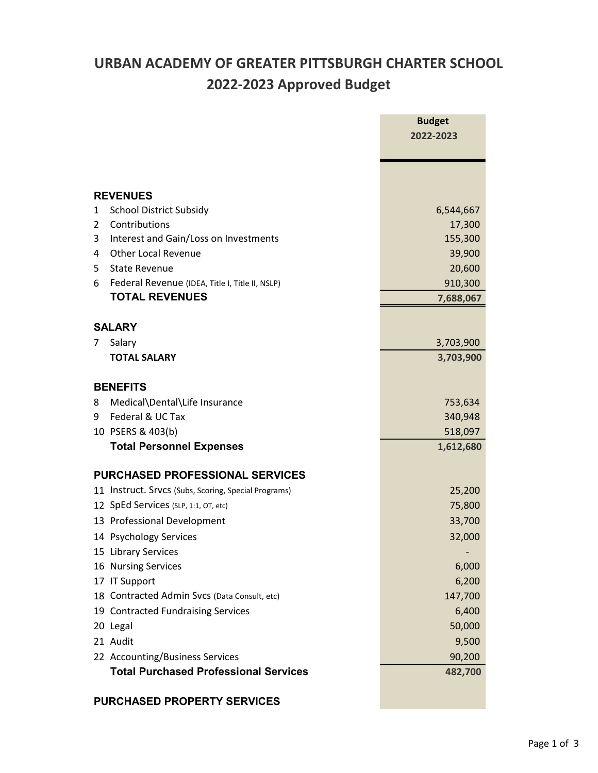## URBAN ACADEMY OF GREATER PITTSBURGH CHARTER SCHOOL 2022-2023 Approved Budget

|               |                                                      | <b>Budget</b><br>2022-2023 |
|---------------|------------------------------------------------------|----------------------------|
|               |                                                      |                            |
|               |                                                      |                            |
|               | <b>REVENUES</b>                                      |                            |
| 1             | <b>School District Subsidy</b>                       | 6,544,667                  |
| 2             | Contributions                                        | 17,300                     |
| 3             | Interest and Gain/Loss on Investments                | 155,300                    |
| 4             | <b>Other Local Revenue</b>                           | 39,900                     |
| 5             | <b>State Revenue</b>                                 | 20,600                     |
| 6             | Federal Revenue (IDEA, Title I, Title II, NSLP)      | 910,300                    |
|               | <b>TOTAL REVENUES</b>                                | 7,688,067                  |
| <b>SALARY</b> |                                                      |                            |
| 7             | Salary                                               | 3,703,900                  |
|               | <b>TOTAL SALARY</b>                                  | 3,703,900                  |
|               |                                                      |                            |
|               | <b>BENEFITS</b>                                      |                            |
| 8             | Medical\Dental\Life Insurance                        | 753,634                    |
| 9             | Federal & UC Tax                                     | 340,948                    |
|               | 10 PSERS & 403(b)                                    | 518,097                    |
|               | <b>Total Personnel Expenses</b>                      | 1,612,680                  |
|               | <b>PURCHASED PROFESSIONAL SERVICES</b>               |                            |
|               | 11 Instruct. Srvcs (Subs, Scoring, Special Programs) | 25,200                     |
|               | 12 SpEd Services (SLP, 1:1, OT, etc)                 | 75,800                     |
|               | 13 Professional Development                          | 33,700                     |
|               | 14 Psychology Services                               | 32,000                     |
|               | 15 Library Services                                  |                            |
|               | 16 Nursing Services                                  | 6,000                      |
|               | 17 IT Support                                        | 6,200                      |
|               | 18 Contracted Admin Svcs (Data Consult, etc)         | 147,700                    |
|               | 19 Contracted Fundraising Services                   | 6,400                      |
|               | 20 Legal                                             | 50,000                     |
|               | 21 Audit                                             | 9,500                      |
|               | 22 Accounting/Business Services                      | 90,200                     |
|               | <b>Total Purchased Professional Services</b>         | 482,700                    |
|               |                                                      |                            |

## PURCHASED PROPERTY SERVICES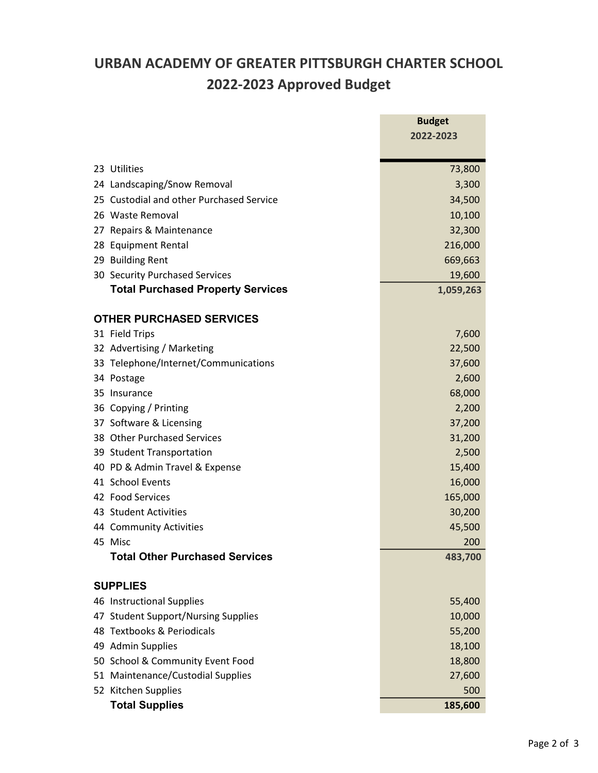## URBAN ACADEMY OF GREATER PITTSBURGH CHARTER SCHOOL 2022-2023 Approved Budget

|    |                                                  | <b>Budget</b>   |
|----|--------------------------------------------------|-----------------|
|    |                                                  | 2022-2023       |
|    | 23 Utilities                                     |                 |
|    | 24 Landscaping/Snow Removal                      | 73,800<br>3,300 |
|    | 25 Custodial and other Purchased Service         | 34,500          |
|    | 26 Waste Removal                                 | 10,100          |
| 27 | Repairs & Maintenance                            | 32,300          |
| 28 | <b>Equipment Rental</b>                          | 216,000         |
| 29 | <b>Building Rent</b>                             | 669,663         |
|    | 30 Security Purchased Services                   | 19,600          |
|    | <b>Total Purchased Property Services</b>         | 1,059,263       |
|    |                                                  |                 |
|    | <b>OTHER PURCHASED SERVICES</b>                  |                 |
|    | 31 Field Trips                                   | 7,600           |
|    | 32 Advertising / Marketing                       | 22,500          |
|    | 33 Telephone/Internet/Communications             | 37,600          |
|    | 34 Postage                                       | 2,600           |
|    | 35 Insurance                                     | 68,000          |
|    | 36 Copying / Printing                            | 2,200           |
|    | 37 Software & Licensing                          | 37,200          |
|    | 38 Other Purchased Services                      | 31,200          |
|    | 39 Student Transportation                        | 2,500           |
|    | 40 PD & Admin Travel & Expense                   | 15,400          |
|    | 41 School Events                                 | 16,000          |
|    | 42 Food Services                                 | 165,000         |
|    | 43 Student Activities                            | 30,200          |
|    | 44 Community Activities                          | 45,500          |
|    | 45 Misc<br><b>Total Other Purchased Services</b> | 200             |
|    |                                                  | 483,700         |
|    | <b>SUPPLIES</b>                                  |                 |
|    | 46 Instructional Supplies                        | 55,400          |
|    | 47 Student Support/Nursing Supplies              | 10,000          |
|    | 48 Textbooks & Periodicals                       | 55,200          |
|    | 49 Admin Supplies                                | 18,100          |
|    | 50 School & Community Event Food                 | 18,800          |
|    | 51 Maintenance/Custodial Supplies                | 27,600          |
|    | 52 Kitchen Supplies                              | 500             |
|    | <b>Total Supplies</b>                            | 185,600         |